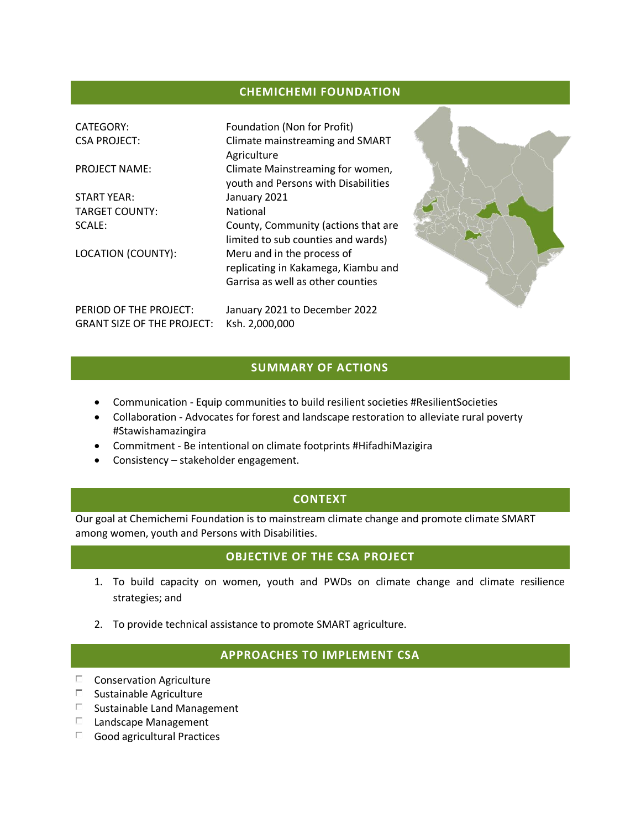#### **CHEMICHEMI FOUNDATION**

| <b>CATEGORY:</b>                  | Foundation (Non for Profit)         |  |
|-----------------------------------|-------------------------------------|--|
| <b>CSA PROJECT:</b>               | Climate mainstreaming and SMART     |  |
|                                   | Agriculture                         |  |
| <b>PROJECT NAME:</b>              | Climate Mainstreaming for women,    |  |
|                                   | youth and Persons with Disabilities |  |
|                                   |                                     |  |
| <b>START YEAR:</b>                | January 2021                        |  |
| <b>TARGET COUNTY:</b>             | National                            |  |
| SCALE:                            | County, Community (actions that are |  |
|                                   | limited to sub counties and wards)  |  |
| LOCATION (COUNTY):                | Meru and in the process of          |  |
|                                   | replicating in Kakamega, Kiambu and |  |
|                                   |                                     |  |
|                                   | Garrisa as well as other counties   |  |
| PERIOD OF THE PROJECT:            | January 2021 to December 2022       |  |
|                                   |                                     |  |
| <b>GRANT SIZE OF THE PROJECT:</b> | Ksh. 2,000,000                      |  |



## **SUMMARY OF ACTIONS**

- Communication Equip communities to build resilient societies #ResilientSocieties
- Collaboration Advocates for forest and landscape restoration to alleviate rural poverty #Stawishamazingira
- Commitment Be intentional on climate footprints #HifadhiMazigira
- Consistency stakeholder engagement.

## **CONTEXT**

Our goal at Chemichemi Foundation is to mainstream climate change and promote climate SMART among women, youth and Persons with Disabilities.

## **OBJECTIVE OF THE CSA PROJECT**

- 1. To build capacity on women, youth and PWDs on climate change and climate resilience strategies; and
- 2. To provide technical assistance to promote SMART agriculture.

#### **APPROACHES TO IMPLEMENT CSA**

- $\square$  Conservation Agriculture
- $\square$  Sustainable Agriculture
- $\square$  Sustainable Land Management
- $\Box$  Landscape Management
- $\Box$  Good agricultural Practices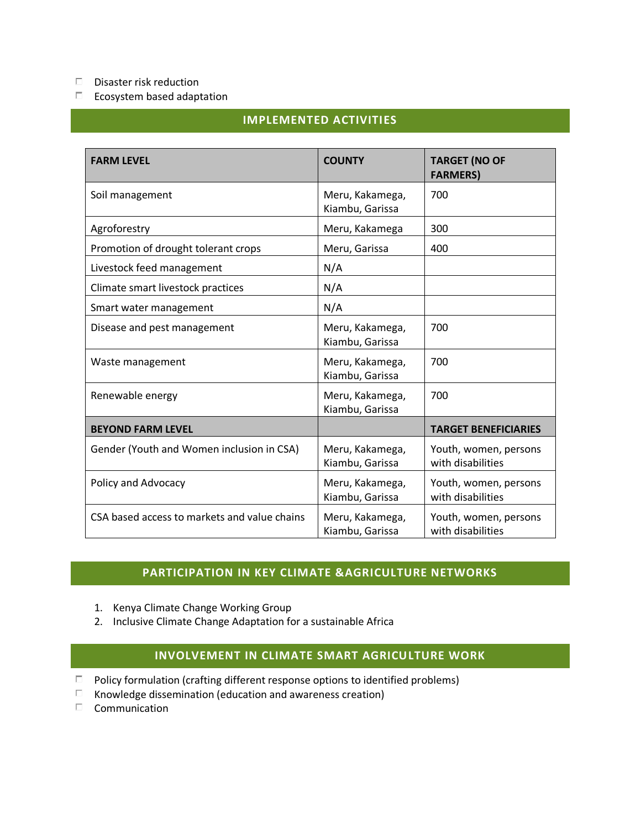#### $\Box$ Disaster risk reduction

 $\Box$ Ecosystem based adaptation

## **IMPLEMENTED ACTIVITIES**

| <b>FARM LEVEL</b>                            | <b>COUNTY</b>                      | <b>TARGET (NO OF</b><br><b>FARMERS)</b>    |
|----------------------------------------------|------------------------------------|--------------------------------------------|
| Soil management                              | Meru, Kakamega,<br>Kiambu, Garissa | 700                                        |
| Agroforestry                                 | Meru, Kakamega                     | 300                                        |
| Promotion of drought tolerant crops          | Meru, Garissa                      | 400                                        |
| Livestock feed management                    | N/A                                |                                            |
| Climate smart livestock practices            | N/A                                |                                            |
| Smart water management                       | N/A                                |                                            |
| Disease and pest management                  | Meru, Kakamega,<br>Kiambu, Garissa | 700                                        |
| Waste management                             | Meru, Kakamega,<br>Kiambu, Garissa | 700                                        |
| Renewable energy                             | Meru, Kakamega,<br>Kiambu, Garissa | 700                                        |
| <b>BEYOND FARM LEVEL</b>                     |                                    | <b>TARGET BENEFICIARIES</b>                |
| Gender (Youth and Women inclusion in CSA)    | Meru, Kakamega,<br>Kiambu, Garissa | Youth, women, persons<br>with disabilities |
| Policy and Advocacy                          | Meru, Kakamega,<br>Kiambu, Garissa | Youth, women, persons<br>with disabilities |
| CSA based access to markets and value chains | Meru, Kakamega,<br>Kiambu, Garissa | Youth, women, persons<br>with disabilities |

## **PARTICIPATION IN KEY CLIMATE &AGRICULTURE NETWORKS**

- 1. Kenya Climate Change Working Group
- 2. Inclusive Climate Change Adaptation for a sustainable Africa

# **INVOLVEMENT IN CLIMATE SMART AGRICULTURE WORK**

- $\Box$  Policy formulation (crafting different response options to identified problems)
- $\Box$ Knowledge dissemination (education and awareness creation)
- $\Box$ Communication